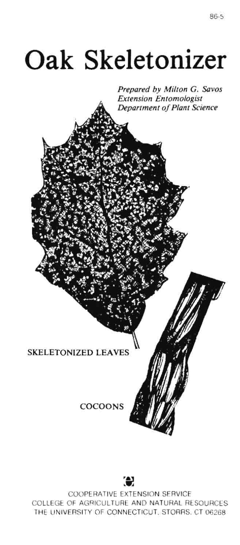## **Oak Skeletonizer**

*Prepared by Milton* G. *Savos Extension Entomologist Department of Plant Science* 

## SKELETONIZED LEAVES

COCOONS



COOPERATIVE EXTENSION SERVICE COLLEGE OF AGRICULTURE AND NATURAL RESOURCES THE UNIVERSITY OF CONNECTICUT. STORRS. CT 06268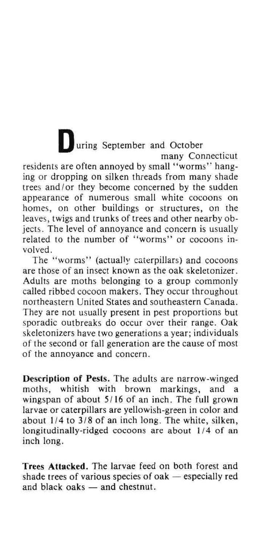**During September and October** many Connecticut residents are often annoyed by small "worms" hanging or dropping on silken threads from many shade trees and/or they become concerned by the sudden appearance of numerous small white cocoons on homes, on other buildings or structures, on the leaves, twigs and trunks of trees and other nearby objects. The level of annoyance and concern is usually related to the number of "worms" or cocoons involved.

The "worms" (actually caterpillars) and cocoons are those of an insect known as the oak skeletonizer. Adults are moths belonging to a group commonly called ribbed cocoon makers. They occur throughout northeastern United States and southeastern Canada. They are not usually present in pest proportions but sporadic outbreaks do occur over their range. Oak skeletonizers have two generations a year; individuals of the second or fall generation are the cause of most of the annoyance and concern.

Description of Pests. The adults are narrow~winged moths, whitish with brown markings, and a wingspan of about 5/16 of an inch. The full grown larvae or caterpillars are yellowish~green in color and about  $1/4$  to  $3/8$  of an inch long. The white, silken, longitudinally~ridged cocoons are about 1/4 of an inch long.

Trees Attacked. The larvae feed on both forest and shade trees of various species of oak  $-$  especially red and black oaks  $-$  and chestnut.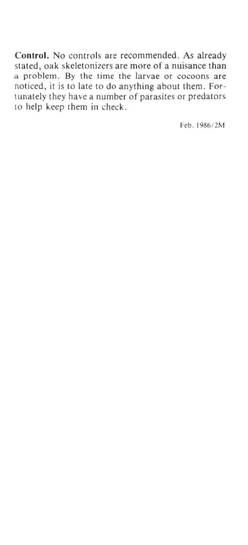**Control.** No controls are recommended. As already stated, oak skeletonizers are more of a nuisance than a problem. By the time the larvae or cocoons are noticed, it is to late to do anything about them. Forlunately they have a number of parasites or predators to help keep them in check.

Feb.1986 12M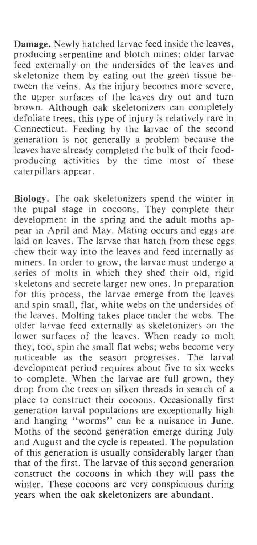Damage. Newly hatched larvae feed inside the leaves, producing serpentine and blotch mines; older larvae feed externally on the undersides of the leaves and skeletonize them by eating out the green tissue between the veins. As the injury becomes more severe, the upper surfaces of the leaves dry out and turn brown. Although oak skeletonizers can completely defoliate trees, this type of injury is relatively rare in Connecticut. Feeding by the larvae of the second generation is not generally a problem because the leaves have already completed the bulk of their foodproducing activities by the time most of these caterpillars appear.

Biology. The oak skeletonizers spend the winter in the pupal stage in cocoons. They complete their development in the spring and the adult moths appear in April and May. Mating occurs and eggs are laid on leaves. The larvae that hatch from these eggs chew their way into the leaves and feed internally as miners. In order to grow, the larvae must undergo a series of molts in which they shed their old, rigid skeletons and secrete larger new ones. In preparation for this process, the larvae emerge from the leaves and spin small, flat, white webs on the undersides of the leaves. Molting takes place under the webs. The older larvae feed externally as skeletonizers on the lower surfaces of the leaves. When ready to molt they, too, spin the small flat webs; webs become very noticeable as the season progresses. The larval development period requires about five to six weeks to complete. When the larvae are full grown, they drop from the trees on silken threads in search of a place to construct their cocoons. Occasionally first generation larval populations are exceptionally high and hanging "worms" can be a nuisance in June. Moths of the second generation emerge during July and August and the cycle is repeated. The population of this generation is usually considerably larger than that of the first. The larvae of this second generation construct the cocoons in which they will pass the winter. These cocoons are very conspicuous during years when the oak skeletonizers are abundant.